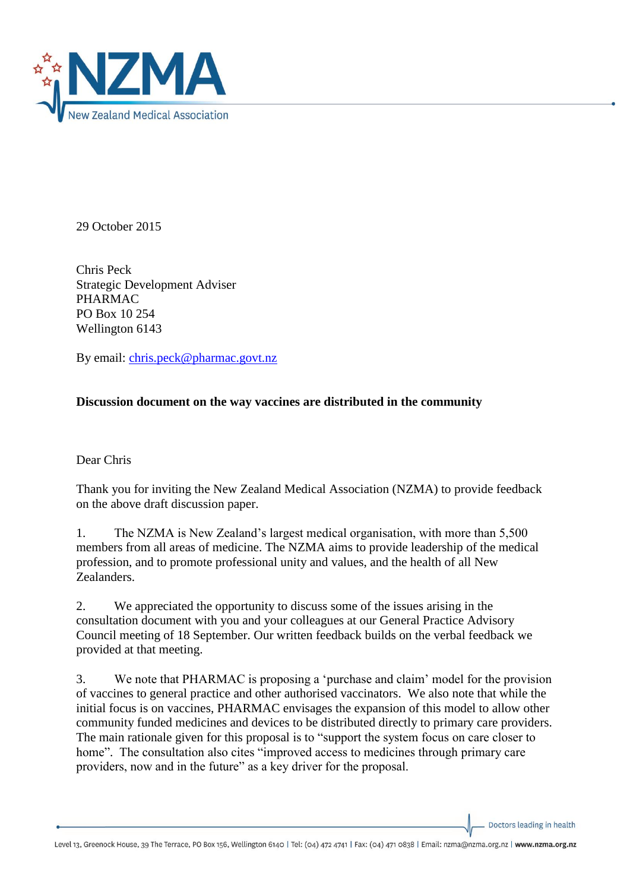

29 October 2015

Chris Peck Strategic Development Adviser PHARMAC PO Box 10 254 Wellington 6143

By email: [chris.peck@pharmac.govt.nz](mailto:chris.peck@pharmac.govt.nz)

## **Discussion document on the way vaccines are distributed in the community**

Dear Chris

Thank you for inviting the New Zealand Medical Association (NZMA) to provide feedback on the above draft discussion paper.

1. The NZMA is New Zealand's largest medical organisation, with more than 5,500 members from all areas of medicine. The NZMA aims to provide leadership of the medical profession, and to promote professional unity and values, and the health of all New Zealanders.

2. We appreciated the opportunity to discuss some of the issues arising in the consultation document with you and your colleagues at our General Practice Advisory Council meeting of 18 September. Our written feedback builds on the verbal feedback we provided at that meeting.

3. We note that PHARMAC is proposing a 'purchase and claim' model for the provision of vaccines to general practice and other authorised vaccinators. We also note that while the initial focus is on vaccines, PHARMAC envisages the expansion of this model to allow other community funded medicines and devices to be distributed directly to primary care providers. The main rationale given for this proposal is to "support the system focus on care closer to home". The consultation also cites "improved access to medicines through primary care providers, now and in the future" as a key driver for the proposal.

Doctors leading in health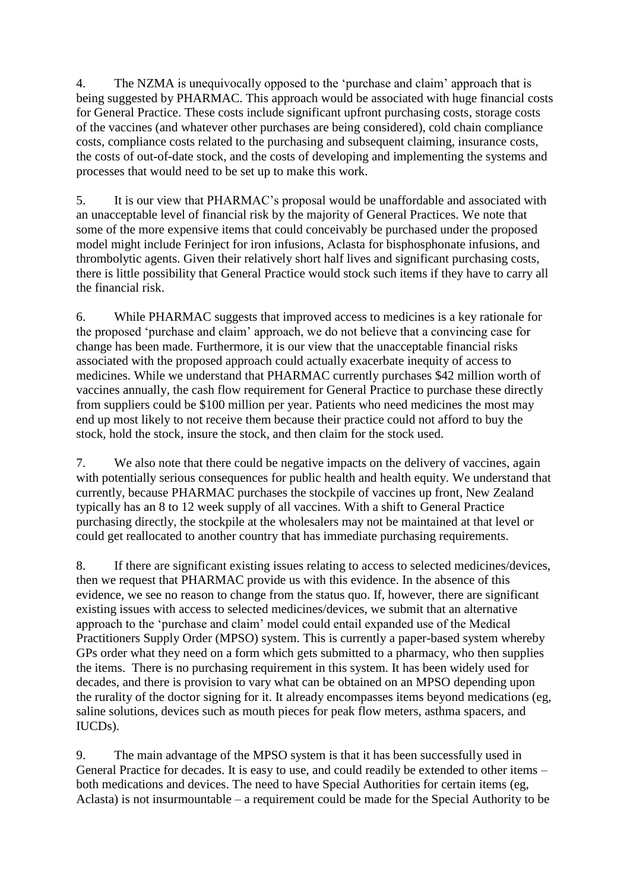4. The NZMA is unequivocally opposed to the 'purchase and claim' approach that is being suggested by PHARMAC. This approach would be associated with huge financial costs for General Practice. These costs include significant upfront purchasing costs, storage costs of the vaccines (and whatever other purchases are being considered), cold chain compliance costs, compliance costs related to the purchasing and subsequent claiming, insurance costs, the costs of out-of-date stock, and the costs of developing and implementing the systems and processes that would need to be set up to make this work.

5. It is our view that PHARMAC's proposal would be unaffordable and associated with an unacceptable level of financial risk by the majority of General Practices. We note that some of the more expensive items that could conceivably be purchased under the proposed model might include Ferinject for iron infusions, Aclasta for bisphosphonate infusions, and thrombolytic agents. Given their relatively short half lives and significant purchasing costs, there is little possibility that General Practice would stock such items if they have to carry all the financial risk.

6. While PHARMAC suggests that improved access to medicines is a key rationale for the proposed 'purchase and claim' approach, we do not believe that a convincing case for change has been made. Furthermore, it is our view that the unacceptable financial risks associated with the proposed approach could actually exacerbate inequity of access to medicines. While we understand that PHARMAC currently purchases \$42 million worth of vaccines annually, the cash flow requirement for General Practice to purchase these directly from suppliers could be \$100 million per year. Patients who need medicines the most may end up most likely to not receive them because their practice could not afford to buy the stock, hold the stock, insure the stock, and then claim for the stock used.

7. We also note that there could be negative impacts on the delivery of vaccines, again with potentially serious consequences for public health and health equity. We understand that currently, because PHARMAC purchases the stockpile of vaccines up front, New Zealand typically has an 8 to 12 week supply of all vaccines. With a shift to General Practice purchasing directly, the stockpile at the wholesalers may not be maintained at that level or could get reallocated to another country that has immediate purchasing requirements.

8. If there are significant existing issues relating to access to selected medicines/devices, then we request that PHARMAC provide us with this evidence. In the absence of this evidence, we see no reason to change from the status quo. If, however, there are significant existing issues with access to selected medicines/devices, we submit that an alternative approach to the 'purchase and claim' model could entail expanded use of the Medical Practitioners Supply Order (MPSO) system. This is currently a paper-based system whereby GPs order what they need on a form which gets submitted to a pharmacy, who then supplies the items. There is no purchasing requirement in this system. It has been widely used for decades, and there is provision to vary what can be obtained on an MPSO depending upon the rurality of the doctor signing for it. It already encompasses items beyond medications (eg, saline solutions, devices such as mouth pieces for peak flow meters, asthma spacers, and IUCDs).

9. The main advantage of the MPSO system is that it has been successfully used in General Practice for decades. It is easy to use, and could readily be extended to other items – both medications and devices. The need to have Special Authorities for certain items (eg, Aclasta) is not insurmountable – a requirement could be made for the Special Authority to be